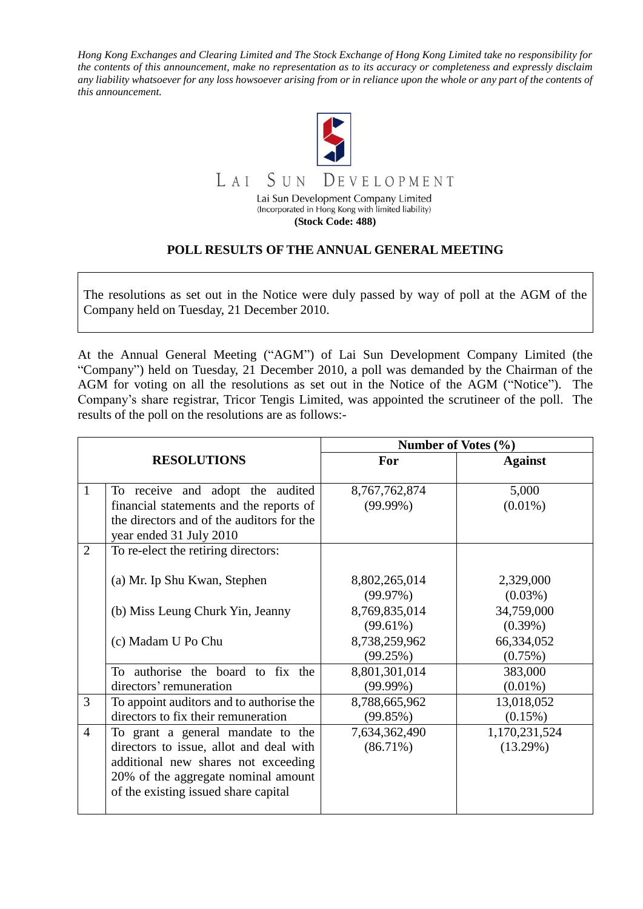*Hong Kong Exchanges and Clearing Limited and The Stock Exchange of Hong Kong Limited take no responsibility for the contents of this announcement, make no representation as to its accuracy or completeness and expressly disclaim any liability whatsoever for any loss howsoever arising from or in reliance upon the whole or any part of the contents of this announcement.*



## **POLL RESULTS OF THE ANNUAL GENERAL MEETING**

The resolutions as set out in the Notice were duly passed by way of poll at the AGM of the Company held on Tuesday, 21 December 2010.

At the Annual General Meeting ("AGM") of Lai Sun Development Company Limited (the "Company") held on Tuesday, 21 December 2010, a poll was demanded by the Chairman of the AGM for voting on all the resolutions as set out in the Notice of the AGM ("Notice"). The Company's share registrar, Tricor Tengis Limited, was appointed the scrutineer of the poll. The results of the poll on the resolutions are as follows:-

|                |                                                                                                                                                                                                    | Number of Votes (%)          |                           |
|----------------|----------------------------------------------------------------------------------------------------------------------------------------------------------------------------------------------------|------------------------------|---------------------------|
|                | <b>RESOLUTIONS</b>                                                                                                                                                                                 | For                          | <b>Against</b>            |
| $\mathbf{1}$   | To receive and adopt the audited                                                                                                                                                                   | 8,767,762,874                | 5,000                     |
|                | financial statements and the reports of<br>the directors and of the auditors for the<br>year ended 31 July 2010                                                                                    | $(99.99\%)$                  | $(0.01\%)$                |
| $\overline{2}$ | To re-elect the retiring directors:                                                                                                                                                                |                              |                           |
|                | (a) Mr. Ip Shu Kwan, Stephen                                                                                                                                                                       | 8,802,265,014<br>(99.97%)    | 2,329,000<br>$(0.03\%)$   |
|                | (b) Miss Leung Churk Yin, Jeanny                                                                                                                                                                   | 8,769,835,014<br>$(99.61\%)$ | 34,759,000<br>$(0.39\%)$  |
|                | (c) Madam U Po Chu                                                                                                                                                                                 | 8,738,259,962<br>(99.25%)    | 66,334,052<br>(0.75%)     |
|                | To authorise the board to fix the<br>directors' remuneration                                                                                                                                       | 8,801,301,014<br>$(99.99\%)$ | 383,000<br>$(0.01\%)$     |
| 3              | To appoint auditors and to authorise the<br>directors to fix their remuneration                                                                                                                    | 8,788,665,962<br>(99.85%)    | 13,018,052<br>$(0.15\%)$  |
| $\overline{4}$ | To grant a general mandate to the<br>directors to issue, allot and deal with<br>additional new shares not exceeding<br>20% of the aggregate nominal amount<br>of the existing issued share capital | 7,634,362,490<br>$(86.71\%)$ | 1,170,231,524<br>(13.29%) |